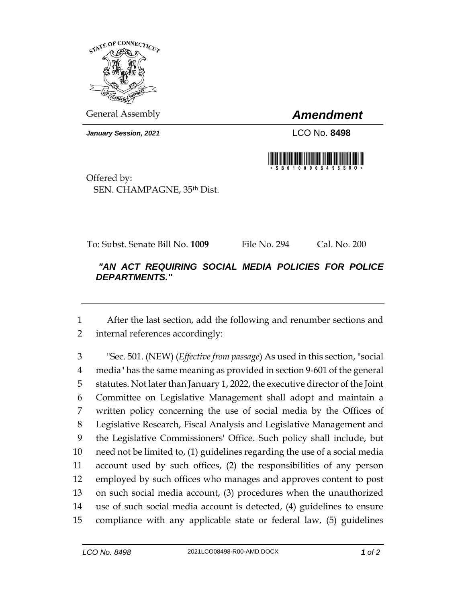

General Assembly *Amendment*

*January Session, 2021* LCO No. **8498**



Offered by: SEN. CHAMPAGNE, 35th Dist.

To: Subst. Senate Bill No. **1009** File No. 294 Cal. No. 200

## *"AN ACT REQUIRING SOCIAL MEDIA POLICIES FOR POLICE DEPARTMENTS."*

 After the last section, add the following and renumber sections and internal references accordingly:

 "Sec. 501. (NEW) (*Effective from passage*) As used in this section, "social media" has the same meaning as provided in section 9-601 of the general statutes. Not later than January 1, 2022, the executive director of the Joint Committee on Legislative Management shall adopt and maintain a written policy concerning the use of social media by the Offices of Legislative Research, Fiscal Analysis and Legislative Management and the Legislative Commissioners' Office. Such policy shall include, but need not be limited to, (1) guidelines regarding the use of a social media account used by such offices, (2) the responsibilities of any person employed by such offices who manages and approves content to post on such social media account, (3) procedures when the unauthorized use of such social media account is detected, (4) guidelines to ensure compliance with any applicable state or federal law, (5) guidelines